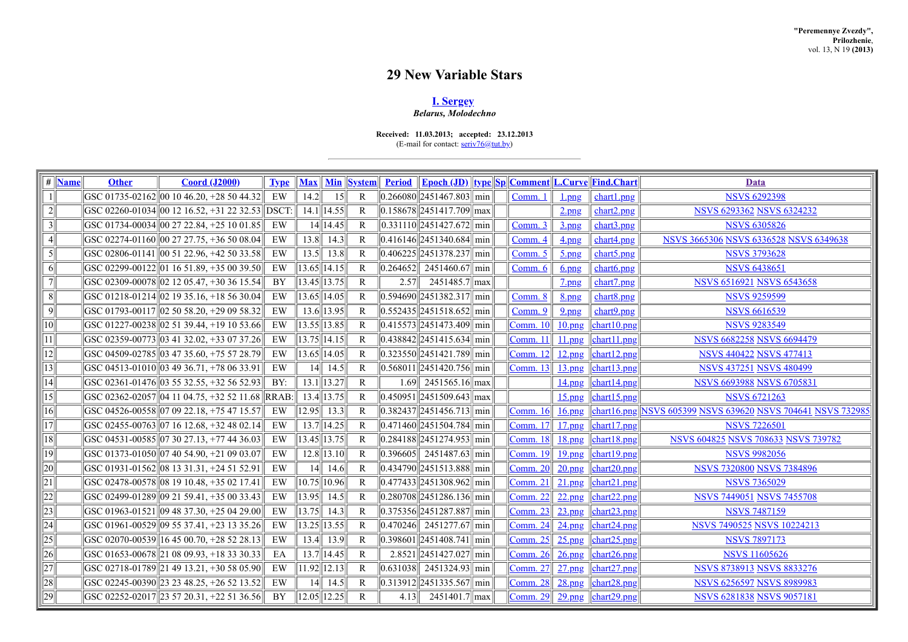# **29 New Variable Stars**

# **I. [Sergey](http://www.astronet.ru/builder/preview/www.astronet.ru/db/varstars/author/12032)** *Belarus, Molodechno*

**Received: 11.03.2013; accepted: 23.12.2013**

(E-mail for contact:  $\frac{\text{serv76@tut.by}}{\text{dev19@tut.by}}$ )

| # Mame           | <b>Other</b> | <b>Coord (J2000)</b>                                                      | <b>Type</b> | <b>Max</b>         |                | <b>Min System</b> |      | <u>Period Epoch (JD) type Sp Comment L.Curve Find.Chart</u>     |                              |                     |                                                                | Data                                                        |
|------------------|--------------|---------------------------------------------------------------------------|-------------|--------------------|----------------|-------------------|------|-----------------------------------------------------------------|------------------------------|---------------------|----------------------------------------------------------------|-------------------------------------------------------------|
|                  |              | $ {\rm GSC\ 01735\text{-}02162} \ 00\ 10\ 46.20\text{, }+28\ 50\ 44.32\ $ | EW          | 14.2               | 15             | $\mathbb{R}$      |      | $\ 0.266080\ 2451467.803\ $ min                                 | Comm.                        | $1$ <sub>png</sub>  | chart1.png                                                     | <b>NSVS 6292398</b>                                         |
| $2\vert$         |              | GSC 02260-01034 00 12 16.52, +31 22 32.53 DSCT                            |             |                    | $14.1$   14.55 | $\mathbb{R}$      |      | $\ 0.158678\ 2451417.709\ max$                                  |                              | $2$ .png            | chart2.png                                                     | <b>NSVS 6293362 NSVS 6324232</b>                            |
| $3\vert$         |              | GSC 01734-00034 00 27 22.84, +25 10 01.85                                 | EW          |                    | $14$   14.45   | $\mathbb{R}$      |      | $\left  0.331110 \right  2451427.672 \right $ min               | Comm. 3                      | 3.                  | chart3.png                                                     | <b>NSVS 6305826</b>                                         |
| $\left 4\right $ |              | GSC 02274-01160 0 27 27.75, +36 50 08.04                                  | EW          | 13.8               | 14.3           | R                 |      | $\left  0.416146 \right  2451340.684 \right $ min               | Comm. 4                      | 4.png               | chart4.png                                                     | NSVS 3665306 NSVS 6336528 NSVS 6349638                      |
| $\overline{5}$   |              | GSC 02806-01141 00 51 22.96, +42 50 33.58                                 | EW          | 13.5               | 13.8           | R                 |      | $\left  0.406225 \right  2451378.237 \right $ min               | Comm. 5                      | $5$ .png            | chart5.png                                                     | <b>NSVS 3793628</b>                                         |
| 6 <sup>1</sup>   |              | GSC 02299-00122 01 16 51.89, +35 00 39.50                                 | EW          | 13.65   14.15      |                | R                 |      | $\ 0.264652\ $ 2451460.67 min                                   | Comm. 6                      | $6$ .png            | chart6.png                                                     | <b>NSVS 6438651</b>                                         |
| 7                |              | GSC 02309-00078  02 12 05.47, +30 36 15.54                                | <b>BY</b>   | $\ 13.45\ 13.75\ $ |                | R                 | 2.57 | $2451485.7$ max                                                 |                              | $2$ png             | $char1$ , png                                                  | <b>NSVS 6516921 NSVS 6543658</b>                            |
| $\ 8\ $          |              | $ {\rm GSC\ 01218\text{-}01214} \ $ 02 19 35.16, +18 56 30.04             | EW          | $\ 13.65\ $ 14.05  |                | $\mathbb{R}$      |      | $\left  0.594690 \right  2451382.317 \right $ min               | Comm. 8                      | <u>8.png</u>        | chart8.png                                                     | <b>NSVS 9259599</b>                                         |
| $\overline{9}$   |              | GSC 01793-00117 02 50 58.20, +29 09 58.32                                 | EW          | $13.6$ 13.95       |                | R                 |      | $\ 0.552435\ 2451518.652\ min$                                  | Comm. 9                      | $9$ .png            | chart9.png                                                     | <b>NSVS 6616539</b>                                         |
| $\overline{10}$  |              | GSC 01227-00238 02 51 39.44, +19 10 53.66                                 | EW          | $13.55$ 13.85      |                | $\mathbb{R}$      |      | $\left  0.415573 \right  2451473.409 \right  \min$              | $\lfloor$ Comm. 10 $\rfloor$ | 10.png              | char10.png                                                     | <b>NSVS 9283549</b>                                         |
| $\overline{11}$  |              | GSC 02359-00773 03 41 32.02, +33 07 37.26                                 | EW          | $\ 13.75\ 14.15$   |                | R                 |      | $\left\  0.438842 \right\  2451415.634 \right\  \min$           | Comm. 11                     | $11$ .png           | $ $ chart11.png                                                | <b>NSVS 6682258 NSVS 6694479</b>                            |
| 2                |              | GSC 04509-02785 03 47 35.60, +75 57 28.79                                 | EW          | $\ 13.65\ $ 14.05  |                | $\mathbb{R}$      |      | $\ 0.323550\ 2451421.789\ $ min                                 | Comm. 12                     | 12.png              | $\left  \frac{\text{chart}12.\text{png}}{\text{long}} \right $ | <b>NSVS 440422 NSVS 477413</b>                              |
| 13               |              | GSC 04513-01010 03 49 36.71, +78 06 33.91                                 | EW          | 14                 | 14.5           | R                 |      | $\left  0.568011 \right  2451420.756$ min                       | $\lfloor$ Comm. 13 $\rfloor$ | 13.png              | chart13.png                                                    | <b>NSVS 437251 NSVS 480499</b>                              |
| 4                |              | GSC 02361-01476 03 55 32.55, +32 56 52.93                                 | BY:         | $13.1$   13.27     |                | R                 |      | $1.69$ 2451565.16 max                                           |                              | 14.png              | $\left  \frac{\text{chart14.png}}{\text{right14}} \right $     | <b>NSVS 6693988 NSVS 6705831</b>                            |
| $\overline{15}$  |              | GSC 02362-02057  04 11 04.75, +32 52 11.68   RRAB:                        |             |                    | $13.4$   13.75 | $\mathsf{R}$      |      | $\left  0.450951 \right  2451509.643 \right $ max               |                              | $15$ .png           | $\left  \frac{\text{chart15.png}}{\text{char15.png}}$          | <b>NSVS 6721263</b>                                         |
| $16$             |              | GSC 04526-00558 07 09 22.18, +75 47 15.57                                 | EW          | 12.95              | 13.3           | $\mathbb{R}$      |      | $\ 0.382437\ 2451456.713\ $ min                                 | $\lfloor$ Comm. 16 $\rfloor$ | $16$ .png           |                                                                | chart16.png NSVS 605399 NSVS 639620 NSVS 704641 NSVS 732985 |
| 17               |              | GSC 02455-00763 07 16 12.68, +32 48 02.14                                 | EW          | $13.7$ 14.25       |                | R                 |      | $\left  0.471460 \right  2451504.784 \right $ min               | <b>Comm. 17</b>              | $17$ .png           | $\overline{\left  \text{chart17.png} \right }$                 | <b>NSVS 7226501</b>                                         |
| 18               |              | GSC 04531-00585  07 30 27.13, +77 44 36.03                                | EW          | 13.45   13.75      |                | R                 |      | $\ 0.284188\ 2451274.953\ $ min                                 | Comm. 18                     | 18.png              | char18.png                                                     | <b>NSVS 604825 NSVS 708633 NSVS 739782</b>                  |
| $\overline{19}$  |              | GSC 01373-01050 07 40 54.90, +21 09 03.07                                 | EW          |                    | $12.8$   13.10 | R                 |      | $\left  0.396605 \right  \left  2451487.63 \right  \right $ min | $\lfloor$ Comm. 19 $\rfloor$ | $19$ <sub>png</sub> | $\left  \frac{\text{chart19,ppg}}{\text{chart19}} \right $     | <b>NSVS 9982056</b>                                         |
| $\overline{20}$  |              | GSC 01931-01562  08 13 31.31, +24 51 52.91                                | EW          | 14                 | 14.6           | R                 |      | $\ 0.434790\ 2451513.888\ $ min                                 | Comm. 20                     | $20$ .png           | $\left  \frac{\text{chart20.png}}{\text{right20}} \right $     | <b>NSVS 7320800 NSVS 7384896</b>                            |
| 21               |              | GSC 02478-00578 08 19 10.48, +35 02 17.41                                 | EW          | 10.75  10.96       |                | R                 |      | $\ 0.477433\ 2451308.962\ $ min                                 | $\lfloor$ Comm. 21           | $21$ png            | $ $ chart21.png                                                | <b>NSVS 7365029</b>                                         |
| $\overline{22}$  |              | GSC 02499-01289 09 21 59.41, +35 00 33.43                                 | EW          | 13.95              | 14.5           | R                 |      | $\big  0.280708 \big  2451286.136 \big  \min$                   | $\lfloor$ Comm. 22           | 22.png              | $\left  \frac{\text{chart22.png}}{\text{right}} \right $       | <b>NSVS 7449051 NSVS 7455708</b>                            |
| $\overline{23}$  |              | GSC 01963-01521 09 48 37.30, +25 04 29.00                                 | EW          | 13.75              | 14.3           | R                 |      | $\left  0.375356 \right  2451287.887 \right $ min               | Comm. $23$                   | $23$ .png           | char123.png                                                    | <b>NSVS 7487159</b>                                         |
| $\overline{24}$  |              | GSC 01961-00529 09 55 37.41, +23 13 35.26                                 | EW          | $13.25$   13.55    |                | R                 |      | $\ 0.470246\ $ 2451277.67 min                                   | Comm. 24                     | $24$ .png           | chart24.png                                                    | <b>NSVS 7490525 NSVS 10224213</b>                           |
| $\overline{25}$  |              | GSC 02070-00539 16 45 00.70, +28 52 28.13                                 | EW          | 13.4               | 13.9           | $\mathbb{R}$      |      | $\ 0.398601\ 2451408.741\ $ min                                 | Comm. $25$                   | $25$ .png           | char <sub>125.png</sub>                                        | <b>NSVS 7897173</b>                                         |
| $\overline{26}$  |              | GSC 01653-00678 21 08 09.93, +18 33 30.33                                 | EA          | $13.7$   14.45     |                | $\mathbb{R}$      |      | $2.8521$   2451427.027   min                                    | Comm. 26                     | $26$ .png           | $\left  \frac{\text{chart26.png}}{\text{right}}$               | <b>NSVS 11605626</b>                                        |
| $\overline{27}$  |              | GSC 02718-01789 21 49 13.21, +30 58 05.90                                 | EW          | $11.92$   12.13    |                | R                 |      | $\ 0.631038\ $ 2451324.93 min                                   | $\lfloor$ Comm. 27 $\rfloor$ | $27$ .png           | $\left  \frac{\text{chart27.png}}{\text{char}$                 | <b>NSVS 8738913 NSVS 8833276</b>                            |
| 28               |              | GSC 02245-00390 23 23 48.25, +26 52 13.52                                 | EW          | 14                 | 14.5           | R                 |      | $\ 0.313912\ 2451335.567\ $ min                                 | $\lfloor$ Comm. 28           | $28$ .png           | $\left  \frac{\text{chart28.png}}{\text{char}$                 | <b>NSVS 6256597 NSVS 8989983</b>                            |
| 29               |              | $ GSC 02252-02017 $ 23 57 20.31, +22 51 36.56                             | BY          | 12.05  12.25       |                | $\mathbb{R}$      | 4.13 | $2451401.7$ max                                                 |                              |                     | $\vert$ Comm. 29 $\vert$ 29.png $\vert$ chart29.png            | <b>NSVS 6281838 NSVS 9057181</b>                            |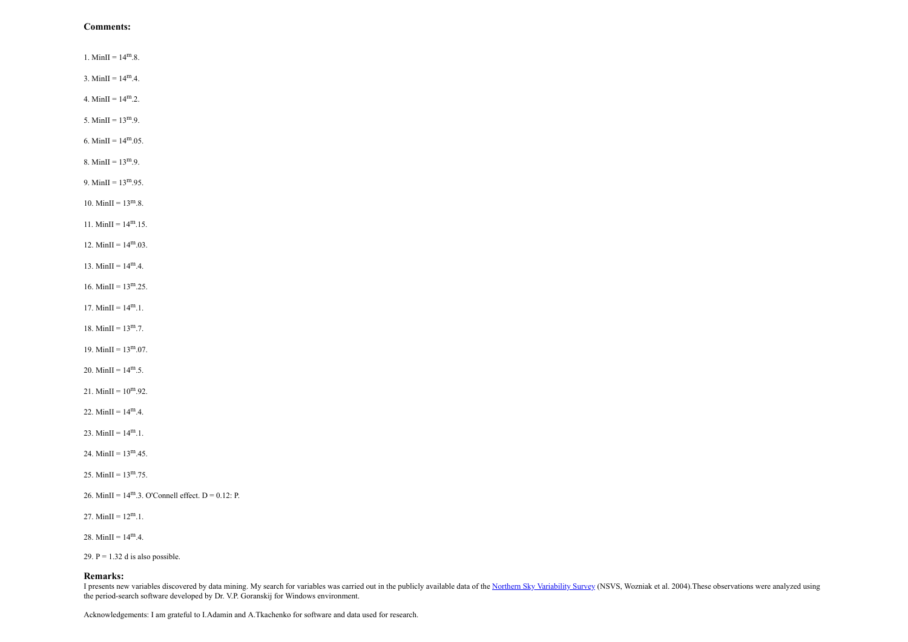### **Comments:**

1. MinII =  $14^{\rm m}.8$ . 3. MinII =  $14^{\rm m}$ .4. 4. MinII =  $14^{\rm m}.2$ . 5. MinII =  $13^{m}$ .9. 6. MinII =  $14^{\text{m}}.05$ . 8. MinII =  $13^{\rm m}.9$ . 9. MinII =  $13^{\rm m}.95$ .

10. MinII =  $13^{\rm m}.8$ .

11. MinII =  $14^{\text{m}}.15$ .

12. MinII =  $14^{\rm m}$ .03.

13. MinII =  $14^{\text{m}}.4$ .

16. MinII =  $13^{\rm m}.25$ .

17. MinII =  $14^{\rm m}$ .1.

18. MinII =  $13^{\rm m}$ .7.

19. MinII =  $13^{\rm m}$ .07.

20. MinII =  $14^{\text{m}}.5$ .

21. MinII =  $10^{m}$ .92.

22. MinII =  $14^{\rm m}$ .4.

23. MinII =  $14^{\rm m}.1$ .

24. MinII =  $13^{\rm m}$  45.

25. MinII =  $13^{\rm m}$ .75.

26. MinII =  $14^{\text{m}}.3$ . O'Connell effect. D = 0.12: P.

27. MinII =  $12^{\text{m}}.1$ .

28. MinII =  $14^{\rm m}.4$ .

29.  $P = 1.32$  d is also possible.

#### **Remarks:**

I presents new variables discovered by data mining. My search for variables was carried out in the publicly available data of the Northern Sky [Variability](http://skydot.lanl.gov/nsvs/nsvs.php) Survey (NSVS, Wozniak et al. 2004). These observations were analyze the period-search software developed by Dr. V.P. Goranskij for Windows environment.

Acknowledgements: I am grateful to I.Adamin and A.Tkachenko for software and data used for research.